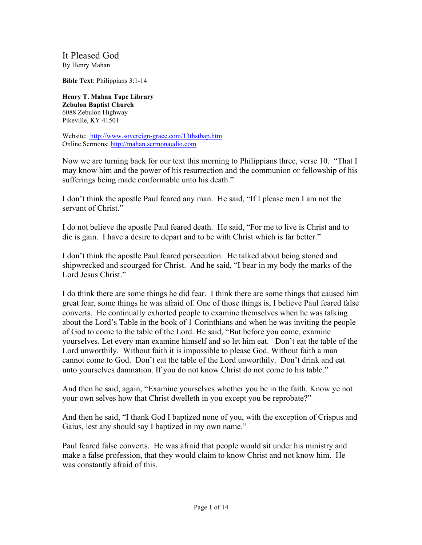It Pleased God By Henry Mahan

**Bible Text**: Philippians 3:1-14

**Henry T. Mahan Tape Library Zebulon Baptist Church** 6088 Zebulon Highway Pikeville, KY 41501

Website: http://www.sovereign-grace.com/13thstbap.htm Online Sermons: http://mahan.sermonaudio.com

Now we are turning back for our text this morning to Philippians three, verse 10. "That I may know him and the power of his resurrection and the communion or fellowship of his sufferings being made conformable unto his death."

I don't think the apostle Paul feared any man. He said, "If I please men I am not the servant of Christ."

I do not believe the apostle Paul feared death. He said, "For me to live is Christ and to die is gain. I have a desire to depart and to be with Christ which is far better."

I don't think the apostle Paul feared persecution. He talked about being stoned and shipwrecked and scourged for Christ. And he said, "I bear in my body the marks of the Lord Jesus Christ."

I do think there are some things he did fear. I think there are some things that caused him great fear, some things he was afraid of. One of those things is, I believe Paul feared false converts. He continually exhorted people to examine themselves when he was talking about the Lord's Table in the book of 1 Corinthians and when he was inviting the people of God to come to the table of the Lord. He said, "But before you come, examine yourselves. Let every man examine himself and so let him eat. Don't eat the table of the Lord unworthily. Without faith it is impossible to please God. Without faith a man cannot come to God. Don't eat the table of the Lord unworthily. Don't drink and eat unto yourselves damnation. If you do not know Christ do not come to his table."

And then he said, again, "Examine yourselves whether you be in the faith. Know ye not your own selves how that Christ dwelleth in you except you be reprobate?"

And then he said, "I thank God I baptized none of you, with the exception of Crispus and Gaius, lest any should say I baptized in my own name."

Paul feared false converts. He was afraid that people would sit under his ministry and make a false profession, that they would claim to know Christ and not know him. He was constantly afraid of this.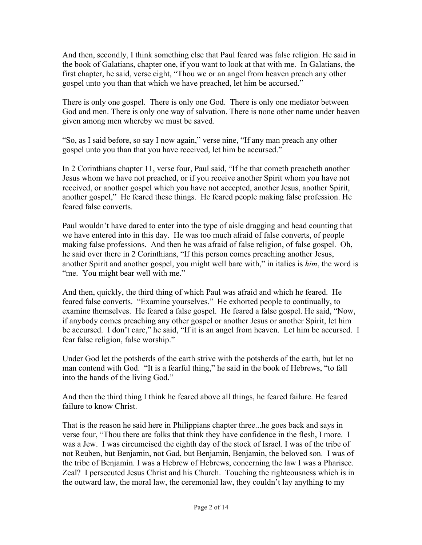And then, secondly, I think something else that Paul feared was false religion. He said in the book of Galatians, chapter one, if you want to look at that with me. In Galatians, the first chapter, he said, verse eight, "Thou we or an angel from heaven preach any other gospel unto you than that which we have preached, let him be accursed."

There is only one gospel. There is only one God. There is only one mediator between God and men. There is only one way of salvation. There is none other name under heaven given among men whereby we must be saved.

"So, as I said before, so say I now again," verse nine, "If any man preach any other gospel unto you than that you have received, let him be accursed."

In 2 Corinthians chapter 11, verse four, Paul said, "If he that cometh preacheth another Jesus whom we have not preached, or if you receive another Spirit whom you have not received, or another gospel which you have not accepted, another Jesus, another Spirit, another gospel," He feared these things. He feared people making false profession. He feared false converts.

Paul wouldn't have dared to enter into the type of aisle dragging and head counting that we have entered into in this day. He was too much afraid of false converts, of people making false professions. And then he was afraid of false religion, of false gospel. Oh, he said over there in 2 Corinthians, "If this person comes preaching another Jesus, another Spirit and another gospel, you might well bare with," in italics is *him*, the word is "me. You might bear well with me."

And then, quickly, the third thing of which Paul was afraid and which he feared. He feared false converts. "Examine yourselves." He exhorted people to continually, to examine themselves. He feared a false gospel. He feared a false gospel. He said, "Now, if anybody comes preaching any other gospel or another Jesus or another Spirit, let him be accursed. I don't care," he said, "If it is an angel from heaven. Let him be accursed. I fear false religion, false worship."

Under God let the potsherds of the earth strive with the potsherds of the earth, but let no man contend with God. "It is a fearful thing," he said in the book of Hebrews, "to fall into the hands of the living God."

And then the third thing I think he feared above all things, he feared failure. He feared failure to know Christ.

That is the reason he said here in Philippians chapter three...he goes back and says in verse four, "Thou there are folks that think they have confidence in the flesh, I more. I was a Jew. I was circumcised the eighth day of the stock of Israel. I was of the tribe of not Reuben, but Benjamin, not Gad, but Benjamin, Benjamin, the beloved son. I was of the tribe of Benjamin. I was a Hebrew of Hebrews, concerning the law I was a Pharisee. Zeal? I persecuted Jesus Christ and his Church. Touching the righteousness which is in the outward law, the moral law, the ceremonial law, they couldn't lay anything to my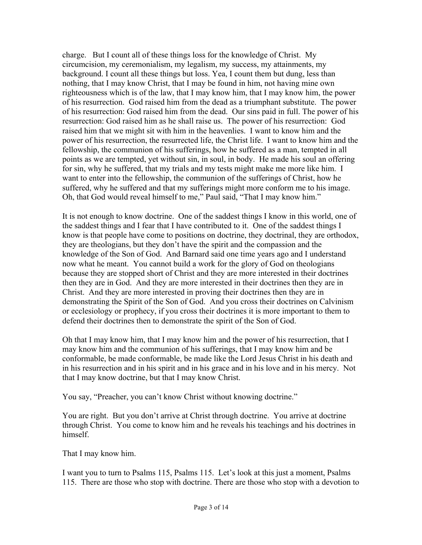charge. But I count all of these things loss for the knowledge of Christ. My circumcision, my ceremonialism, my legalism, my success, my attainments, my background. I count all these things but loss. Yea, I count them but dung, less than nothing, that I may know Christ, that I may be found in him, not having mine own righteousness which is of the law, that I may know him, that I may know him, the power of his resurrection. God raised him from the dead as a triumphant substitute. The power of his resurrection: God raised him from the dead. Our sins paid in full. The power of his resurrection: God raised him as he shall raise us. The power of his resurrection: God raised him that we might sit with him in the heavenlies. I want to know him and the power of his resurrection, the resurrected life, the Christ life. I want to know him and the fellowship, the communion of his sufferings, how he suffered as a man, tempted in all points as we are tempted, yet without sin, in soul, in body. He made his soul an offering for sin, why he suffered, that my trials and my tests might make me more like him. I want to enter into the fellowship, the communion of the sufferings of Christ, how he suffered, why he suffered and that my sufferings might more conform me to his image. Oh, that God would reveal himself to me," Paul said, "That I may know him."

It is not enough to know doctrine. One of the saddest things I know in this world, one of the saddest things and I fear that I have contributed to it. One of the saddest things I know is that people have come to positions on doctrine, they doctrinal, they are orthodox, they are theologians, but they don't have the spirit and the compassion and the knowledge of the Son of God. And Barnard said one time years ago and I understand now what he meant. You cannot build a work for the glory of God on theologians because they are stopped short of Christ and they are more interested in their doctrines then they are in God. And they are more interested in their doctrines then they are in Christ. And they are more interested in proving their doctrines then they are in demonstrating the Spirit of the Son of God. And you cross their doctrines on Calvinism or ecclesiology or prophecy, if you cross their doctrines it is more important to them to defend their doctrines then to demonstrate the spirit of the Son of God.

Oh that I may know him, that I may know him and the power of his resurrection, that I may know him and the communion of his sufferings, that I may know him and be conformable, be made conformable, be made like the Lord Jesus Christ in his death and in his resurrection and in his spirit and in his grace and in his love and in his mercy. Not that I may know doctrine, but that I may know Christ.

You say, "Preacher, you can't know Christ without knowing doctrine."

You are right. But you don't arrive at Christ through doctrine. You arrive at doctrine through Christ. You come to know him and he reveals his teachings and his doctrines in himself.

That I may know him.

I want you to turn to Psalms 115, Psalms 115. Let's look at this just a moment, Psalms 115. There are those who stop with doctrine. There are those who stop with a devotion to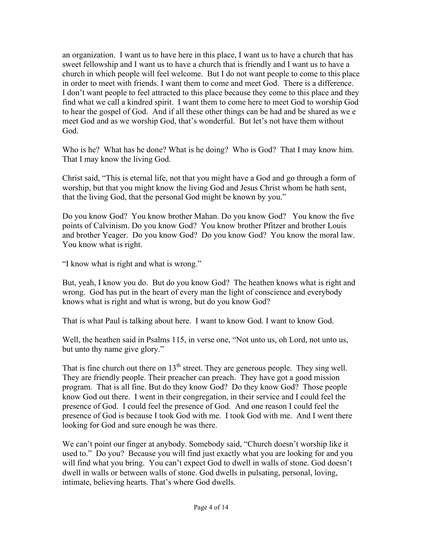an organization. I want us to have here in this place, I want us to have a church that has sweet fellowship and I want us to have a church that is friendly and I want us to have a church in which people will feel welcome. But I do not want people to come to this place in order to meet with friends. I want them to come and meet God. There is a difference. I don't want people to feel attracted to this place because they come to this place and they find what we call a kindred spirit. I want them to come here to meet God to worship God to hear the gospel of God. And if all these other things can be had and be shared as we e meet God and as we worship God, that's wonderful. But let's not have them without God.

Who is he? What has he done? What is he doing? Who is God? That I may know him. That I may know the living God.

Christ said, "This is eternal life, not that you might have a God and go through a form of worship, but that you might know the living God and Jesus Christ whom he hath sent, that the living God, that the personal God might be known by you."

Do you know God? You know brother Mahan. Do you know God? You know the five points of Calvinism. Do you know God? You know brother Pfitzer and brother Louis and brother Yeager. Do you know God? Do you know God? You know the moral law. You know what is right.

"I know what is right and what is wrong."

But, yeah, I know you do. But do you know God? The heathen knows what is right and wrong. God has put in the heart of every man the light of conscience and everybody knows what is right and what is wrong, but do you know God?

That is what Paul is talking about here. I want to know God. I want to know God.

Well, the heathen said in Psalms 115, in verse one, "Not unto us, oh Lord, not unto us, but unto thy name give glory."

That is fine church out there on  $13<sup>th</sup>$  street. They are generous people. They sing well. They are friendly people. Their preacher can preach. They have got a good mission program. That is all fine. But do they know God? Do they know God? Those people know God out there. I went in their congregation, in their service and I could feel the presence of God. I could feel the presence of God. And one reason I could feel the presence of God is because I took God with me. I took God with me. And I went there looking for God and sure enough he was there.

We can't point our finger at anybody. Somebody said, "Church doesn't worship like it used to." Do you? Because you will find just exactly what you are looking for and you will find what you bring. You can't expect God to dwell in walls of stone. God doesn't dwell in walls or between walls of stone. God dwells in pulsating, personal, loving, intimate, believing hearts. That's where God dwells.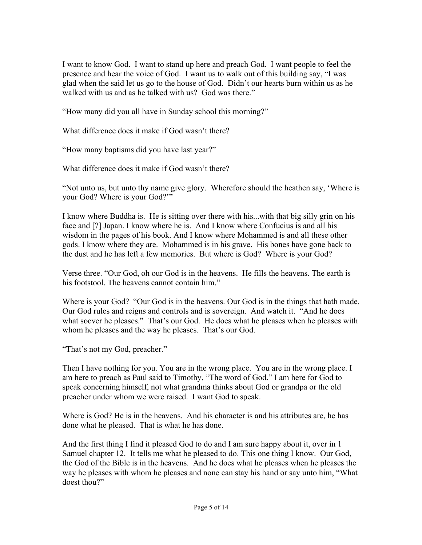I want to know God. I want to stand up here and preach God. I want people to feel the presence and hear the voice of God. I want us to walk out of this building say, "I was glad when the said let us go to the house of God. Didn't our hearts burn within us as he walked with us and as he talked with us? God was there."

"How many did you all have in Sunday school this morning?"

What difference does it make if God wasn't there?

"How many baptisms did you have last year?"

What difference does it make if God wasn't there?

"Not unto us, but unto thy name give glory. Wherefore should the heathen say, 'Where is your God? Where is your God?'"

I know where Buddha is. He is sitting over there with his...with that big silly grin on his face and [?] Japan. I know where he is. And I know where Confucius is and all his wisdom in the pages of his book. And I know where Mohammed is and all these other gods. I know where they are. Mohammed is in his grave. His bones have gone back to the dust and he has left a few memories. But where is God? Where is your God?

Verse three. "Our God, oh our God is in the heavens. He fills the heavens. The earth is his footstool. The heavens cannot contain him."

Where is your God? "Our God is in the heavens. Our God is in the things that hath made. Our God rules and reigns and controls and is sovereign. And watch it. "And he does what soever he pleases." That's our God. He does what he pleases when he pleases with whom he pleases and the way he pleases. That's our God.

"That's not my God, preacher."

Then I have nothing for you. You are in the wrong place. You are in the wrong place. I am here to preach as Paul said to Timothy, "The word of God." I am here for God to speak concerning himself, not what grandma thinks about God or grandpa or the old preacher under whom we were raised. I want God to speak.

Where is God? He is in the heavens. And his character is and his attributes are, he has done what he pleased. That is what he has done.

And the first thing I find it pleased God to do and I am sure happy about it, over in 1 Samuel chapter 12. It tells me what he pleased to do. This one thing I know. Our God, the God of the Bible is in the heavens. And he does what he pleases when he pleases the way he pleases with whom he pleases and none can stay his hand or say unto him, "What doest thou?"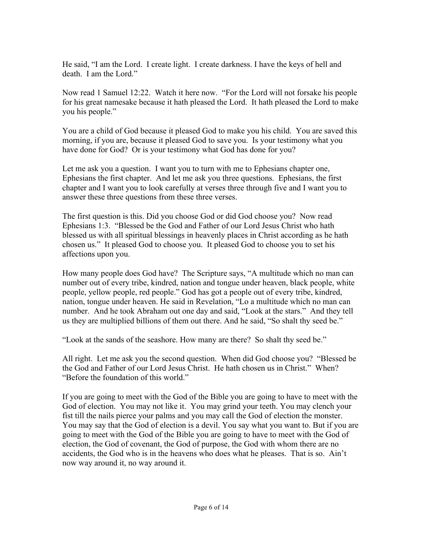He said, "I am the Lord. I create light. I create darkness. I have the keys of hell and death. I am the Lord."

Now read 1 Samuel 12:22. Watch it here now. "For the Lord will not forsake his people for his great namesake because it hath pleased the Lord. It hath pleased the Lord to make you his people."

You are a child of God because it pleased God to make you his child. You are saved this morning, if you are, because it pleased God to save you. Is your testimony what you have done for God? Or is your testimony what God has done for you?

Let me ask you a question. I want you to turn with me to Ephesians chapter one, Ephesians the first chapter. And let me ask you three questions. Ephesians, the first chapter and I want you to look carefully at verses three through five and I want you to answer these three questions from these three verses.

The first question is this. Did you choose God or did God choose you? Now read Ephesians 1:3. "Blessed be the God and Father of our Lord Jesus Christ who hath blessed us with all spiritual blessings in heavenly places in Christ according as he hath chosen us." It pleased God to choose you. It pleased God to choose you to set his affections upon you.

How many people does God have? The Scripture says, "A multitude which no man can number out of every tribe, kindred, nation and tongue under heaven, black people, white people, yellow people, red people." God has got a people out of every tribe, kindred, nation, tongue under heaven. He said in Revelation, "Lo a multitude which no man can number. And he took Abraham out one day and said, "Look at the stars." And they tell us they are multiplied billions of them out there. And he said, "So shalt thy seed be."

"Look at the sands of the seashore. How many are there? So shalt thy seed be."

All right. Let me ask you the second question. When did God choose you? "Blessed be the God and Father of our Lord Jesus Christ. He hath chosen us in Christ." When? "Before the foundation of this world."

If you are going to meet with the God of the Bible you are going to have to meet with the God of election. You may not like it. You may grind your teeth. You may clench your fist till the nails pierce your palms and you may call the God of election the monster. You may say that the God of election is a devil. You say what you want to. But if you are going to meet with the God of the Bible you are going to have to meet with the God of election, the God of covenant, the God of purpose, the God with whom there are no accidents, the God who is in the heavens who does what he pleases. That is so. Ain't now way around it, no way around it.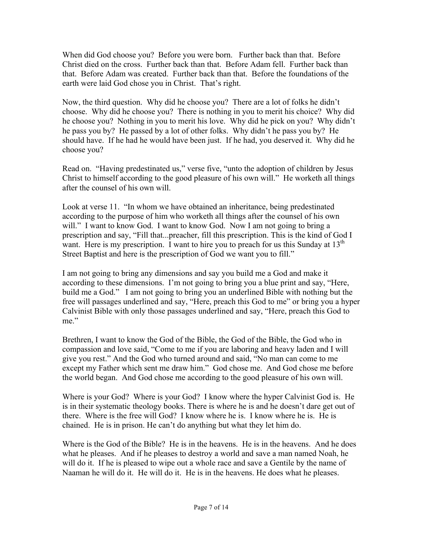When did God choose you? Before you were born. Further back than that. Before Christ died on the cross. Further back than that. Before Adam fell. Further back than that. Before Adam was created. Further back than that. Before the foundations of the earth were laid God chose you in Christ. That's right.

Now, the third question. Why did he choose you? There are a lot of folks he didn't choose. Why did he choose you? There is nothing in you to merit his choice? Why did he choose you? Nothing in you to merit his love. Why did he pick on you? Why didn't he pass you by? He passed by a lot of other folks. Why didn't he pass you by? He should have. If he had he would have been just. If he had, you deserved it. Why did he choose you?

Read on. "Having predestinated us," verse five, "unto the adoption of children by Jesus Christ to himself according to the good pleasure of his own will." He worketh all things after the counsel of his own will.

Look at verse 11. "In whom we have obtained an inheritance, being predestinated according to the purpose of him who worketh all things after the counsel of his own will." I want to know God. I want to know God. Now I am not going to bring a prescription and say, "Fill that...preacher, fill this prescription. This is the kind of God I want. Here is my prescription. I want to hire you to preach for us this Sunday at  $13<sup>th</sup>$ Street Baptist and here is the prescription of God we want you to fill."

I am not going to bring any dimensions and say you build me a God and make it according to these dimensions. I'm not going to bring you a blue print and say, "Here, build me a God." I am not going to bring you an underlined Bible with nothing but the free will passages underlined and say, "Here, preach this God to me" or bring you a hyper Calvinist Bible with only those passages underlined and say, "Here, preach this God to me."

Brethren, I want to know the God of the Bible, the God of the Bible, the God who in compassion and love said, "Come to me if you are laboring and heavy laden and I will give you rest." And the God who turned around and said, "No man can come to me except my Father which sent me draw him." God chose me. And God chose me before the world began. And God chose me according to the good pleasure of his own will.

Where is your God? Where is your God? I know where the hyper Calvinist God is. He is in their systematic theology books. There is where he is and he doesn't dare get out of there. Where is the free will God? I know where he is. I know where he is. He is chained. He is in prison. He can't do anything but what they let him do.

Where is the God of the Bible? He is in the heavens. He is in the heavens. And he does what he pleases. And if he pleases to destroy a world and save a man named Noah, he will do it. If he is pleased to wipe out a whole race and save a Gentile by the name of Naaman he will do it. He will do it. He is in the heavens. He does what he pleases.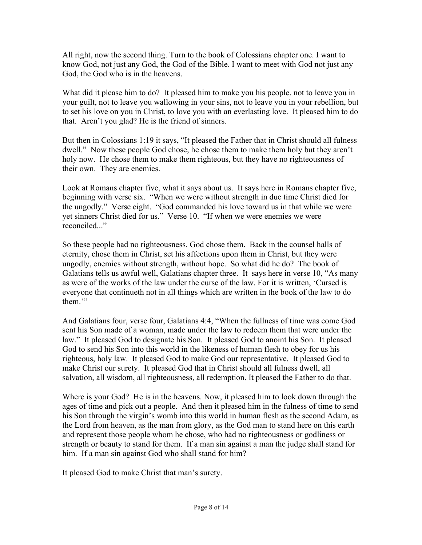All right, now the second thing. Turn to the book of Colossians chapter one. I want to know God, not just any God, the God of the Bible. I want to meet with God not just any God, the God who is in the heavens.

What did it please him to do? It pleased him to make you his people, not to leave you in your guilt, not to leave you wallowing in your sins, not to leave you in your rebellion, but to set his love on you in Christ, to love you with an everlasting love. It pleased him to do that. Aren't you glad? He is the friend of sinners.

But then in Colossians 1:19 it says, "It pleased the Father that in Christ should all fulness dwell." Now these people God chose, he chose them to make them holy but they aren't holy now. He chose them to make them righteous, but they have no righteousness of their own. They are enemies.

Look at Romans chapter five, what it says about us. It says here in Romans chapter five, beginning with verse six. "When we were without strength in due time Christ died for the ungodly." Verse eight. "God commanded his love toward us in that while we were yet sinners Christ died for us." Verse 10. "If when we were enemies we were reconciled..."

So these people had no righteousness. God chose them. Back in the counsel halls of eternity, chose them in Christ, set his affections upon them in Christ, but they were ungodly, enemies without strength, without hope. So what did he do? The book of Galatians tells us awful well, Galatians chapter three. It says here in verse 10, "As many as were of the works of the law under the curse of the law. For it is written, 'Cursed is everyone that continueth not in all things which are written in the book of the law to do them<sup>"</sup>

And Galatians four, verse four, Galatians 4:4, "When the fullness of time was come God sent his Son made of a woman, made under the law to redeem them that were under the law." It pleased God to designate his Son. It pleased God to anoint his Son. It pleased God to send his Son into this world in the likeness of human flesh to obey for us his righteous, holy law. It pleased God to make God our representative. It pleased God to make Christ our surety. It pleased God that in Christ should all fulness dwell, all salvation, all wisdom, all righteousness, all redemption. It pleased the Father to do that.

Where is your God? He is in the heavens. Now, it pleased him to look down through the ages of time and pick out a people. And then it pleased him in the fulness of time to send his Son through the virgin's womb into this world in human flesh as the second Adam, as the Lord from heaven, as the man from glory, as the God man to stand here on this earth and represent those people whom he chose, who had no righteousness or godliness or strength or beauty to stand for them. If a man sin against a man the judge shall stand for him. If a man sin against God who shall stand for him?

It pleased God to make Christ that man's surety.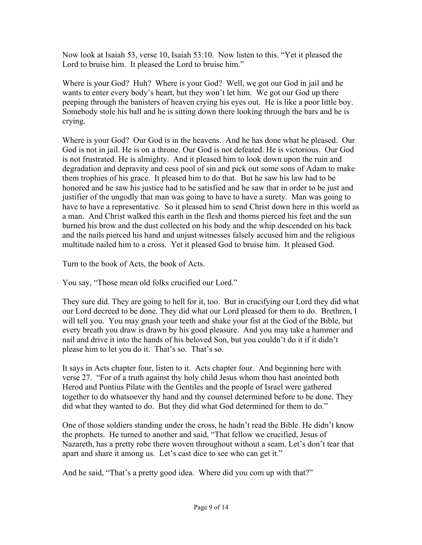Now look at Isaiah 53, verse 10, Isaiah 53:10. Now listen to this. "Yet it pleased the Lord to bruise him. It pleased the Lord to bruise him."

Where is your God? Huh? Where is your God? Well, we got our God in jail and he wants to enter every body's heart, but they won't let him. We got our God up there peeping through the banisters of heaven crying his eyes out. He is like a poor little boy. Somebody stole his ball and he is sitting down there looking through the bars and he is crying.

Where is your God? Our God is in the heavens. And he has done what he pleased. Our God is not in jail. He is on a throne. Our God is not defeated. He is victorious. Our God is not frustrated. He is almighty. And it pleased him to look down upon the ruin and degradation and depravity and cess pool of sin and pick out some sons of Adam to make them trophies of his grace. It pleased him to do that. But he saw his law had to be honored and he saw his justice had to be satisfied and he saw that in order to be just and justifier of the ungodly that man was going to have to have a surety. Man was going to have to have a representative. So it pleased him to send Christ down here in this world as a man. And Christ walked this earth in the flesh and thorns pierced his feet and the sun burned his brow and the dust collected on his body and the whip descended on his back and the nails pierced his hand and unjust witnesses falsely accused him and the religious multitude nailed him to a cross. Yet it pleased God to bruise him. It pleased God.

Turn to the book of Acts, the book of Acts.

You say, "Those mean old folks crucified our Lord."

They sure did. They are going to hell for it, too. But in crucifying our Lord they did what our Lord decreed to be done. They did what our Lord pleased for them to do. Brethren, I will tell you. You may gnash your teeth and shake your fist at the God of the Bible, but every breath you draw is drawn by his good pleasure. And you may take a hammer and nail and drive it into the hands of his beloved Son, but you couldn't do it if it didn't please him to let you do it. That's so. That's so.

It says in Acts chapter four, listen to it. Acts chapter four. And beginning here with verse 27. "For of a truth against thy holy child Jesus whom thou hast anointed both Herod and Pontius Pilate with the Gentiles and the people of Israel were gathered together to do whatsoever thy hand and thy counsel determined before to be done. They did what they wanted to do. But they did what God determined for them to do."

One of those soldiers standing under the cross, he hadn't read the Bible. He didn't know the prophets. He turned to another and said, "That fellow we crucified, Jesus of Nazareth, has a pretty robe there woven throughout without a seam. Let's don't tear that apart and share it among us. Let's cast dice to see who can get it."

And he said, "That's a pretty good idea. Where did you com up with that?"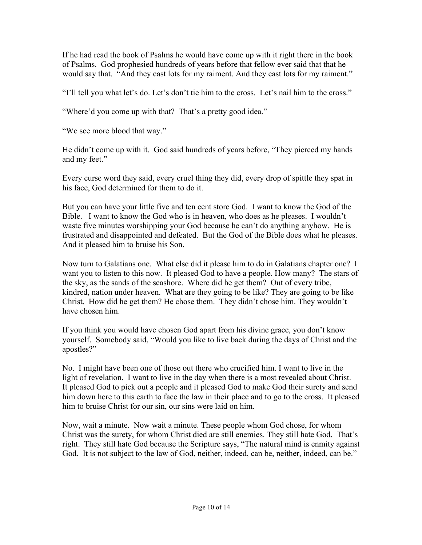If he had read the book of Psalms he would have come up with it right there in the book of Psalms. God prophesied hundreds of years before that fellow ever said that that he would say that. "And they cast lots for my raiment. And they cast lots for my raiment."

"I'll tell you what let's do. Let's don't tie him to the cross. Let's nail him to the cross."

"Where'd you come up with that? That's a pretty good idea."

"We see more blood that way."

He didn't come up with it. God said hundreds of years before, "They pierced my hands and my feet."

Every curse word they said, every cruel thing they did, every drop of spittle they spat in his face, God determined for them to do it.

But you can have your little five and ten cent store God. I want to know the God of the Bible. I want to know the God who is in heaven, who does as he pleases. I wouldn't waste five minutes worshipping your God because he can't do anything anyhow. He is frustrated and disappointed and defeated. But the God of the Bible does what he pleases. And it pleased him to bruise his Son.

Now turn to Galatians one. What else did it please him to do in Galatians chapter one? I want you to listen to this now. It pleased God to have a people. How many? The stars of the sky, as the sands of the seashore. Where did he get them? Out of every tribe, kindred, nation under heaven. What are they going to be like? They are going to be like Christ. How did he get them? He chose them. They didn't chose him. They wouldn't have chosen him.

If you think you would have chosen God apart from his divine grace, you don't know yourself. Somebody said, "Would you like to live back during the days of Christ and the apostles?"

No. I might have been one of those out there who crucified him. I want to live in the light of revelation. I want to live in the day when there is a most revealed about Christ. It pleased God to pick out a people and it pleased God to make God their surety and send him down here to this earth to face the law in their place and to go to the cross. It pleased him to bruise Christ for our sin, our sins were laid on him.

Now, wait a minute. Now wait a minute. These people whom God chose, for whom Christ was the surety, for whom Christ died are still enemies. They still hate God. That's right. They still hate God because the Scripture says, "The natural mind is enmity against God. It is not subject to the law of God, neither, indeed, can be, neither, indeed, can be."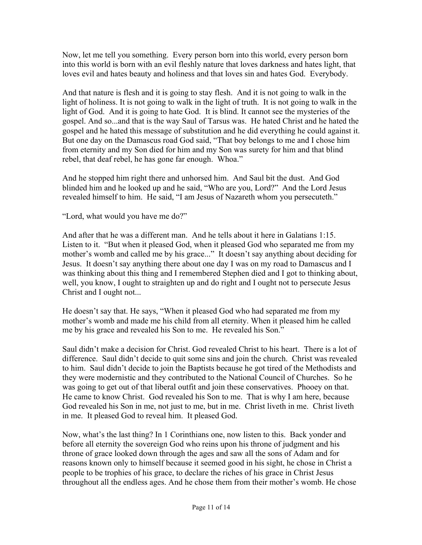Now, let me tell you something. Every person born into this world, every person born into this world is born with an evil fleshly nature that loves darkness and hates light, that loves evil and hates beauty and holiness and that loves sin and hates God. Everybody.

And that nature is flesh and it is going to stay flesh. And it is not going to walk in the light of holiness. It is not going to walk in the light of truth. It is not going to walk in the light of God. And it is going to hate God. It is blind. It cannot see the mysteries of the gospel. And so...and that is the way Saul of Tarsus was. He hated Christ and he hated the gospel and he hated this message of substitution and he did everything he could against it. But one day on the Damascus road God said, "That boy belongs to me and I chose him from eternity and my Son died for him and my Son was surety for him and that blind rebel, that deaf rebel, he has gone far enough. Whoa."

And he stopped him right there and unhorsed him. And Saul bit the dust. And God blinded him and he looked up and he said, "Who are you, Lord?" And the Lord Jesus revealed himself to him. He said, "I am Jesus of Nazareth whom you persecuteth."

"Lord, what would you have me do?"

And after that he was a different man. And he tells about it here in Galatians 1:15. Listen to it. "But when it pleased God, when it pleased God who separated me from my mother's womb and called me by his grace..." It doesn't say anything about deciding for Jesus. It doesn't say anything there about one day I was on my road to Damascus and I was thinking about this thing and I remembered Stephen died and I got to thinking about, well, you know, I ought to straighten up and do right and I ought not to persecute Jesus Christ and I ought not...

He doesn't say that. He says, "When it pleased God who had separated me from my mother's womb and made me his child from all eternity. When it pleased him he called me by his grace and revealed his Son to me. He revealed his Son."

Saul didn't make a decision for Christ. God revealed Christ to his heart. There is a lot of difference. Saul didn't decide to quit some sins and join the church. Christ was revealed to him. Saul didn't decide to join the Baptists because he got tired of the Methodists and they were modernistic and they contributed to the National Council of Churches. So he was going to get out of that liberal outfit and join these conservatives. Phooey on that. He came to know Christ. God revealed his Son to me. That is why I am here, because God revealed his Son in me, not just to me, but in me. Christ liveth in me. Christ liveth in me. It pleased God to reveal him. It pleased God.

Now, what's the last thing? In 1 Corinthians one, now listen to this. Back yonder and before all eternity the sovereign God who reins upon his throne of judgment and his throne of grace looked down through the ages and saw all the sons of Adam and for reasons known only to himself because it seemed good in his sight, he chose in Christ a people to be trophies of his grace, to declare the riches of his grace in Christ Jesus throughout all the endless ages. And he chose them from their mother's womb. He chose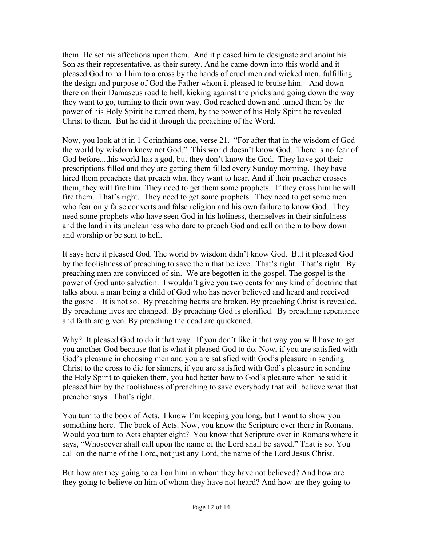them. He set his affections upon them. And it pleased him to designate and anoint his Son as their representative, as their surety. And he came down into this world and it pleased God to nail him to a cross by the hands of cruel men and wicked men, fulfilling the design and purpose of God the Father whom it pleased to bruise him. And down there on their Damascus road to hell, kicking against the pricks and going down the way they want to go, turning to their own way. God reached down and turned them by the power of his Holy Spirit he turned them, by the power of his Holy Spirit he revealed Christ to them. But he did it through the preaching of the Word.

Now, you look at it in 1 Corinthians one, verse 21. "For after that in the wisdom of God the world by wisdom knew not God." This world doesn't know God. There is no fear of God before...this world has a god, but they don't know the God. They have got their prescriptions filled and they are getting them filled every Sunday morning. They have hired them preachers that preach what they want to hear. And if their preacher crosses them, they will fire him. They need to get them some prophets. If they cross him he will fire them. That's right. They need to get some prophets. They need to get some men who fear only false converts and false religion and his own failure to know God. They need some prophets who have seen God in his holiness, themselves in their sinfulness and the land in its uncleanness who dare to preach God and call on them to bow down and worship or be sent to hell.

It says here it pleased God. The world by wisdom didn't know God. But it pleased God by the foolishness of preaching to save them that believe. That's right. That's right. By preaching men are convinced of sin. We are begotten in the gospel. The gospel is the power of God unto salvation. I wouldn't give you two cents for any kind of doctrine that talks about a man being a child of God who has never believed and heard and received the gospel. It is not so. By preaching hearts are broken. By preaching Christ is revealed. By preaching lives are changed. By preaching God is glorified. By preaching repentance and faith are given. By preaching the dead are quickened.

Why? It pleased God to do it that way. If you don't like it that way you will have to get you another God because that is what it pleased God to do. Now, if you are satisfied with God's pleasure in choosing men and you are satisfied with God's pleasure in sending Christ to the cross to die for sinners, if you are satisfied with God's pleasure in sending the Holy Spirit to quicken them, you had better bow to God's pleasure when he said it pleased him by the foolishness of preaching to save everybody that will believe what that preacher says. That's right.

You turn to the book of Acts. I know I'm keeping you long, but I want to show you something here. The book of Acts. Now, you know the Scripture over there in Romans. Would you turn to Acts chapter eight? You know that Scripture over in Romans where it says, "Whosoever shall call upon the name of the Lord shall be saved." That is so. You call on the name of the Lord, not just any Lord, the name of the Lord Jesus Christ.

But how are they going to call on him in whom they have not believed? And how are they going to believe on him of whom they have not heard? And how are they going to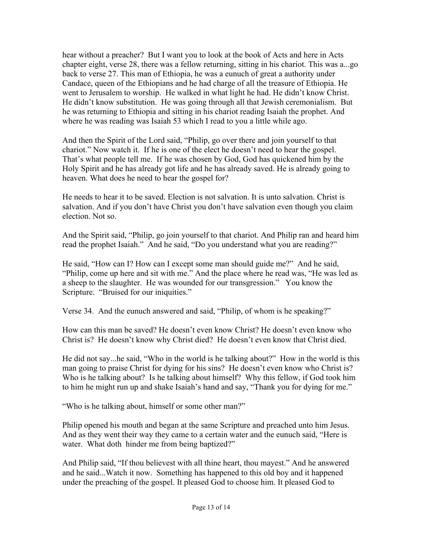hear without a preacher? But I want you to look at the book of Acts and here in Acts chapter eight, verse 28, there was a fellow returning, sitting in his chariot. This was a...go back to verse 27. This man of Ethiopia, he was a eunuch of great a authority under Candace, queen of the Ethiopians and he had charge of all the treasure of Ethiopia. He went to Jerusalem to worship. He walked in what light he had. He didn't know Christ. He didn't know substitution. He was going through all that Jewish ceremonialism. But he was returning to Ethiopia and sitting in his chariot reading Isaiah the prophet. And where he was reading was Isaiah 53 which I read to you a little while ago.

And then the Spirit of the Lord said, "Philip, go over there and join yourself to that chariot." Now watch it. If he is one of the elect he doesn't need to hear the gospel. That's what people tell me. If he was chosen by God, God has quickened him by the Holy Spirit and he has already got life and he has already saved. He is already going to heaven. What does he need to hear the gospel for?

He needs to hear it to be saved. Election is not salvation. It is unto salvation. Christ is salvation. And if you don't have Christ you don't have salvation even though you claim election. Not so.

And the Spirit said, "Philip, go join yourself to that chariot. And Philip ran and heard him read the prophet Isaiah." And he said, "Do you understand what you are reading?"

He said, "How can I? How can I except some man should guide me?" And he said, "Philip, come up here and sit with me." And the place where he read was, "He was led as a sheep to the slaughter. He was wounded for our transgression." You know the Scripture. "Bruised for our iniquities."

Verse 34. And the eunuch answered and said, "Philip, of whom is he speaking?"

How can this man be saved? He doesn't even know Christ? He doesn't even know who Christ is? He doesn't know why Christ died? He doesn't even know that Christ died.

He did not say...he said, "Who in the world is he talking about?" How in the world is this man going to praise Christ for dying for his sins? He doesn't even know who Christ is? Who is he talking about? Is he talking about himself? Why this fellow, if God took him to him he might run up and shake Isaiah's hand and say, "Thank you for dying for me."

"Who is he talking about, himself or some other man?"

Philip opened his mouth and began at the same Scripture and preached unto him Jesus. And as they went their way they came to a certain water and the eunuch said, "Here is water. What doth hinder me from being baptized?"

And Philip said, "If thou believest with all thine heart, thou mayest." And he answered and he said...Watch it now. Something has happened to this old boy and it happened under the preaching of the gospel. It pleased God to choose him. It pleased God to